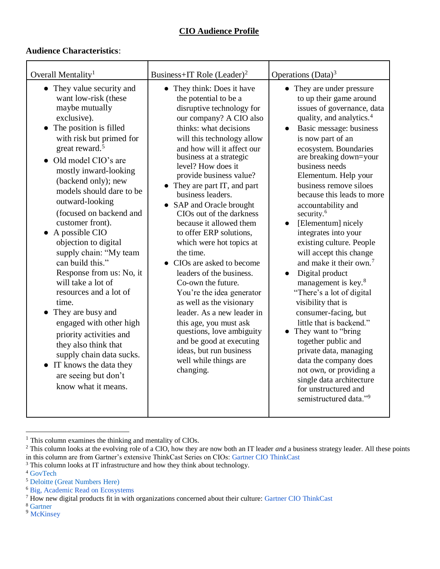## **CIO Audience Profile**

## **Audience Characteristics**:

| Overall Mentality <sup>1</sup>                                                                                                                                                                                                                                                                                                                                                                                                                                                                                                                                                                                                                                                                                               | Business+IT Role (Leader) <sup>2</sup>                                                                                                                                                                                                                                                                                                                                                                                                                                                                                                                                                                                                                                                                                                                                                                               | Operations (Data) <sup>3</sup>                                                                                                                                                                                                                                                                                                                                                                                                                                                                                                                                                                                                                                                                                                                                                                                                                                                                                                  |
|------------------------------------------------------------------------------------------------------------------------------------------------------------------------------------------------------------------------------------------------------------------------------------------------------------------------------------------------------------------------------------------------------------------------------------------------------------------------------------------------------------------------------------------------------------------------------------------------------------------------------------------------------------------------------------------------------------------------------|----------------------------------------------------------------------------------------------------------------------------------------------------------------------------------------------------------------------------------------------------------------------------------------------------------------------------------------------------------------------------------------------------------------------------------------------------------------------------------------------------------------------------------------------------------------------------------------------------------------------------------------------------------------------------------------------------------------------------------------------------------------------------------------------------------------------|---------------------------------------------------------------------------------------------------------------------------------------------------------------------------------------------------------------------------------------------------------------------------------------------------------------------------------------------------------------------------------------------------------------------------------------------------------------------------------------------------------------------------------------------------------------------------------------------------------------------------------------------------------------------------------------------------------------------------------------------------------------------------------------------------------------------------------------------------------------------------------------------------------------------------------|
| • They value security and<br>want low-risk (these<br>maybe mutually<br>exclusive).<br>The position is filled<br>with risk but primed for<br>great reward. $5$<br>• Old model CIO's are<br>mostly inward-looking<br>(backend only); new<br>models should dare to be<br>outward-looking<br>(focused on backend and<br>customer front).<br>A possible CIO<br>objection to digital<br>supply chain: "My team"<br>can build this."<br>Response from us: No, it<br>will take a lot of<br>resources and a lot of<br>time.<br>They are busy and<br>engaged with other high<br>priority activities and<br>they also think that<br>supply chain data sucks.<br>• IT knows the data they<br>are seeing but don't<br>know what it means. | • They think: Does it have<br>the potential to be a<br>disruptive technology for<br>our company? A CIO also<br>thinks: what decisions<br>will this technology allow<br>and how will it affect our<br>business at a strategic<br>level? How does it<br>provide business value?<br>• They are part IT, and part<br>business leaders.<br>• SAP and Oracle brought<br>CIOs out of the darkness<br>because it allowed them<br>to offer ERP solutions,<br>which were hot topics at<br>the time.<br>• CIOs are asked to become<br>leaders of the business.<br>Co-own the future.<br>You're the idea generator<br>as well as the visionary<br>leader. As a new leader in<br>this age, you must ask<br>questions, love ambiguity<br>and be good at executing<br>ideas, but run business<br>well while things are<br>changing. | • They are under pressure<br>to up their game around<br>issues of governance, data<br>quality, and analytics. <sup>4</sup><br>Basic message: business<br>is now part of an<br>ecosystem. Boundaries<br>are breaking down=your<br>business needs<br>Elementum. Help your<br>business remove siloes<br>because this leads to more<br>accountability and<br>security. <sup>6</sup><br>[Elementum] nicely<br>$\bullet$<br>integrates into your<br>existing culture. People<br>will accept this change<br>and make it their own. <sup>7</sup><br>Digital product<br>management is key. <sup>8</sup><br>"There's a lot of digital"<br>visibility that is<br>consumer-facing, but<br>little that is backend."<br>• They want to "bring"<br>together public and<br>private data, managing<br>data the company does<br>not own, or providing a<br>single data architecture<br>for unstructured and<br>semistructured data." <sup>9</sup> |

<sup>&</sup>lt;sup>1</sup> This column examines the thinking and mentality of CIOs.

l

<sup>&</sup>lt;sup>2</sup> This column looks at the evolving role of a CIO, how they are now both an IT leader *and* a business strategy leader. All these points in this column are from Gartner's extensive ThinkCast Series on CIOs: [Gartner CIO ThinkCast](https://www.gartner.com/podcasts/digital-culture-change-what-cios-must-do/)

<sup>&</sup>lt;sup>3</sup> This column looks at IT infrastructure and how they think about technology.

<sup>&</sup>lt;sup>4</sup> [GovTech](http://www.govtech.com/people/Whats-Next-for-the-CIO.html)

<sup>5</sup> [Deloitte \(Great Numbers Here\)](https://www2.deloitte.com/insights/us/en/topics/leadership/cio-transition-strategies.html)

<sup>6</sup> [Big, Academic Read on Ecosystems](http://www.digital-ecosystems.org/book/Section0.pdf)

<sup>7</sup> How new digital products fit in with organizations concerned about their culture: [Gartner CIO](https://www.gartner.com/podcasts/digital-culture-change-what-cios-must-do/) ThinkCast

<sup>8</sup> [Gartner](https://www.gartner.com/smarterwithgartner/cio-agenda-2019-digital-maturity-reaches-a-tipping-point/?%20%20)

<sup>&</sup>lt;sup>9</sup> [McKinsey](https://www.mckinsey.com/business-functions/digital-mckinsey/our-insights/how-cios-can-lead-their-companys-information-business)